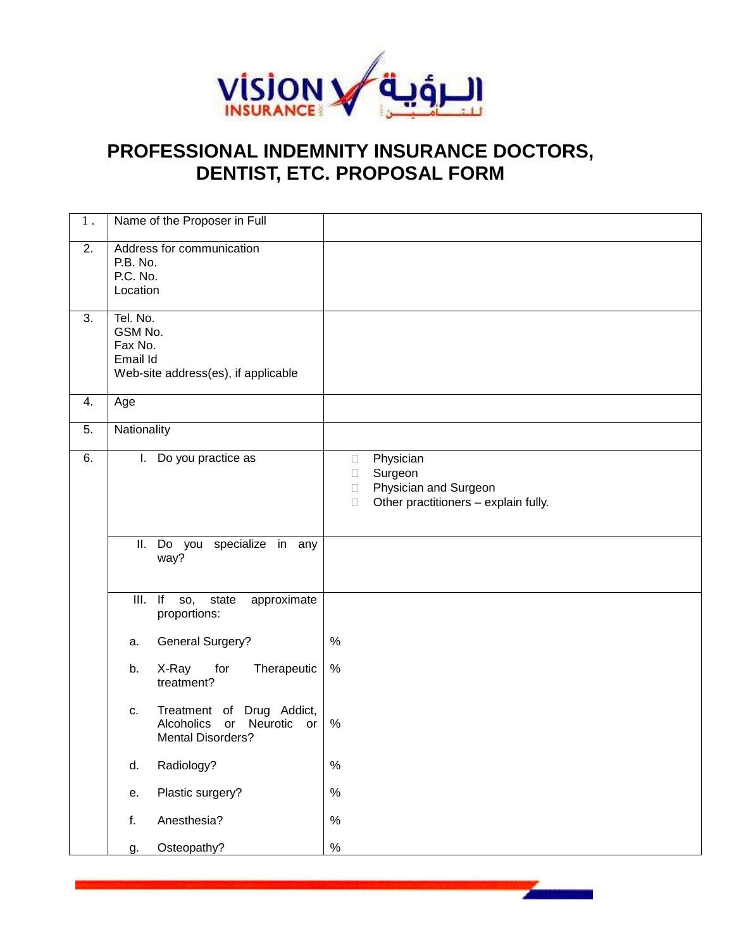

## **PROFESSIONAL INDEMNITY INSURANCE DOCTORS, DENTIST, ETC. PROPOSAL FORM**

| $1$ .            | Name of the Proposer in Full                                                                             |                                                                                       |
|------------------|----------------------------------------------------------------------------------------------------------|---------------------------------------------------------------------------------------|
| $\overline{2}$ . | Address for communication<br>P.B. No.<br>P.C. No.<br>Location                                            |                                                                                       |
| $\overline{3}$ . | Tel. No.<br>GSM No.<br>Fax No.<br>Email Id<br>Web-site address(es), if applicable                        |                                                                                       |
| 4.               | Age                                                                                                      |                                                                                       |
| 5.               | Nationality                                                                                              |                                                                                       |
| 6.               | Do you practice as<br>L.                                                                                 | Physician<br>Surgeon<br>Physician and Surgeon<br>Other practitioners - explain fully. |
|                  | specialize in any<br>II. Do you<br>way?                                                                  |                                                                                       |
|                  | $III.$ If<br>state<br>approximate<br>SO,<br>proportions:                                                 |                                                                                       |
|                  | <b>General Surgery?</b><br>a.                                                                            | %                                                                                     |
|                  | X-Ray<br>for<br>b.<br>Therapeutic<br>treatment?                                                          | $\%$                                                                                  |
|                  | Treatment of Drug Addict,<br>c.<br><b>Alcoholics</b><br>Neurotic<br>or<br>or<br><b>Mental Disorders?</b> | $\%$                                                                                  |
|                  | Radiology?<br>d.                                                                                         | $\%$                                                                                  |
|                  | Plastic surgery?<br>е.                                                                                   | $\%$                                                                                  |
|                  | Anesthesia?<br>f.                                                                                        | $\%$                                                                                  |
|                  | Osteopathy?<br>g.                                                                                        | $\%$                                                                                  |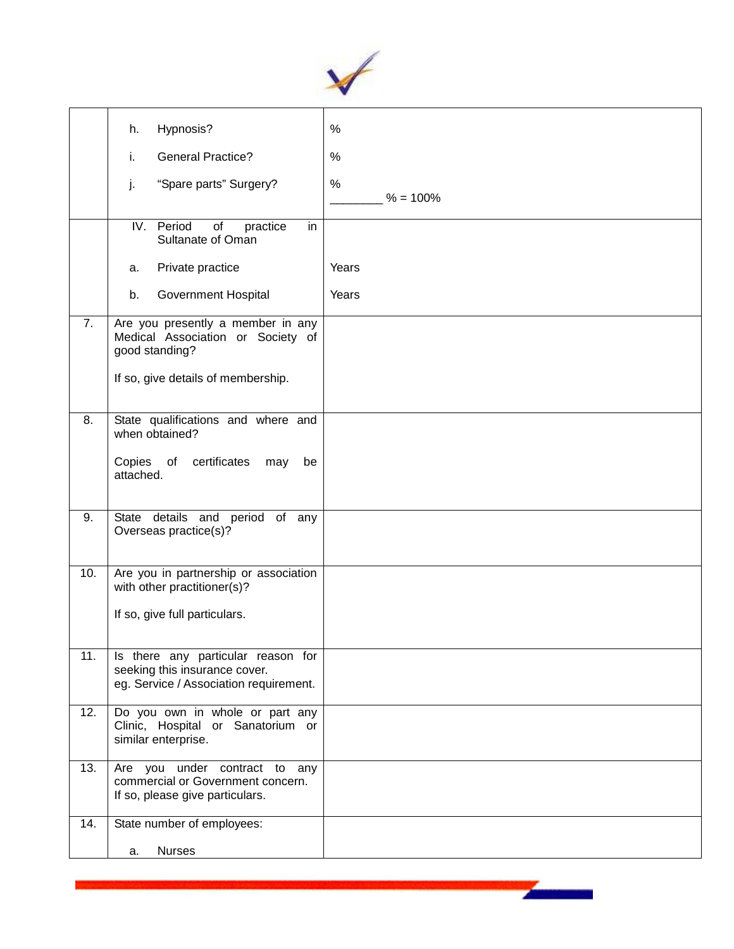

|     | Hypnosis?<br>h.                                                                                               | $\%$            |
|-----|---------------------------------------------------------------------------------------------------------------|-----------------|
|     | <b>General Practice?</b><br>i.                                                                                | $\%$            |
|     | "Spare parts" Surgery?<br>j.                                                                                  | %<br>$% = 100%$ |
|     | IV. Period<br>of<br>in<br>practice<br>Sultanate of Oman                                                       |                 |
|     | Private practice<br>a.                                                                                        | Years           |
|     | b.<br>Government Hospital                                                                                     | Years           |
| 7.  | Are you presently a member in any<br>Medical Association or Society of<br>good standing?                      |                 |
|     | If so, give details of membership.                                                                            |                 |
| 8.  | State qualifications and where and<br>when obtained?                                                          |                 |
|     | Copies of certificates<br>may<br>be<br>attached.                                                              |                 |
| 9.  | State details and period of any<br>Overseas practice(s)?                                                      |                 |
| 10. | Are you in partnership or association<br>with other practitioner(s)?                                          |                 |
|     | If so, give full particulars.                                                                                 |                 |
| 11. | Is there any particular reason for<br>seeking this insurance cover.<br>eg. Service / Association requirement. |                 |
| 12. | Do you own in whole or part any<br>Clinic, Hospital or Sanatorium or<br>similar enterprise.                   |                 |
| 13. | Are you under contract to any<br>commercial or Government concern.<br>If so, please give particulars.         |                 |
| 14. | State number of employees:                                                                                    |                 |
|     | <b>Nurses</b><br>a.                                                                                           |                 |